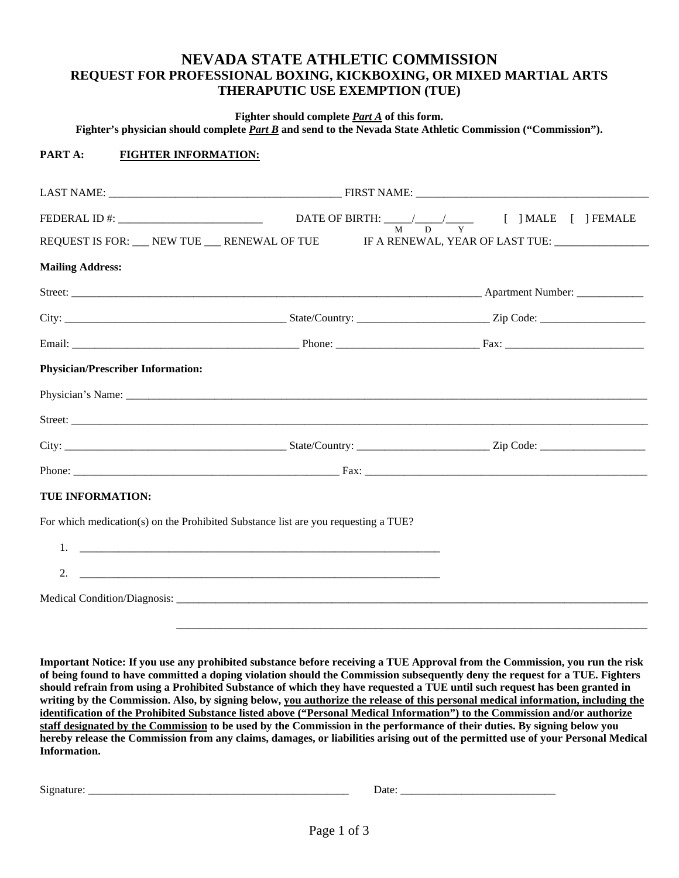# **NEVADA STATE ATHLETIC COMMISSION REQUEST FOR PROFESSIONAL BOXING, KICKBOXING, OR MIXED MARTIAL ARTS THERAPUTIC USE EXEMPTION (TUE)**

**Fighter should complete** *Part A* **of this form.**

**Fighter's physician should complete** *Part B* **and send to the Nevada State Athletic Commission ("Commission").**

## **PART A: FIGHTER INFORMATION:**

| REQUEST IS FOR: __ NEW TUE __ RENEWAL OF TUE IF A RENEWAL, YEAR OF LAST TUE: ______________ |  |  |  |
|---------------------------------------------------------------------------------------------|--|--|--|
| <b>Mailing Address:</b>                                                                     |  |  |  |
|                                                                                             |  |  |  |
|                                                                                             |  |  |  |
|                                                                                             |  |  |  |
| <b>Physician/Prescriber Information:</b>                                                    |  |  |  |
|                                                                                             |  |  |  |
|                                                                                             |  |  |  |
|                                                                                             |  |  |  |
|                                                                                             |  |  |  |
| TUE INFORMATION:                                                                            |  |  |  |
| For which medication(s) on the Prohibited Substance list are you requesting a TUE?          |  |  |  |
|                                                                                             |  |  |  |
| 2.                                                                                          |  |  |  |
|                                                                                             |  |  |  |

**Important Notice: If you use any prohibited substance before receiving a TUE Approval from the Commission, you run the risk of being found to have committed a doping violation should the Commission subsequently deny the request for a TUE. Fighters should refrain from using a Prohibited Substance of which they have requested a TUE until such request has been granted in writing by the Commission. Also, by signing below, you authorize the release of this personal medical information, including the identification of the Prohibited Substance listed above ("Personal Medical Information") to the Commission and/or authorize staff designated by the Commission to be used by the Commission in the performance of their duties. By signing below you hereby release the Commission from any claims, damages, or liabilities arising out of the permitted use of your Personal Medical Information.** 

Signature: \_\_\_\_\_\_\_\_\_\_\_\_\_\_\_\_\_\_\_\_\_\_\_\_\_\_\_\_\_\_\_\_\_\_\_\_\_\_\_\_\_\_\_\_\_\_\_ Date: \_\_\_\_\_\_\_\_\_\_\_\_\_\_\_\_\_\_\_\_\_\_\_\_\_\_\_\_

 $\overline{\phantom{a}}$  ,  $\overline{\phantom{a}}$  ,  $\overline{\phantom{a}}$  ,  $\overline{\phantom{a}}$  ,  $\overline{\phantom{a}}$  ,  $\overline{\phantom{a}}$  ,  $\overline{\phantom{a}}$  ,  $\overline{\phantom{a}}$  ,  $\overline{\phantom{a}}$  ,  $\overline{\phantom{a}}$  ,  $\overline{\phantom{a}}$  ,  $\overline{\phantom{a}}$  ,  $\overline{\phantom{a}}$  ,  $\overline{\phantom{a}}$  ,  $\overline{\phantom{a}}$  ,  $\overline{\phantom{a}}$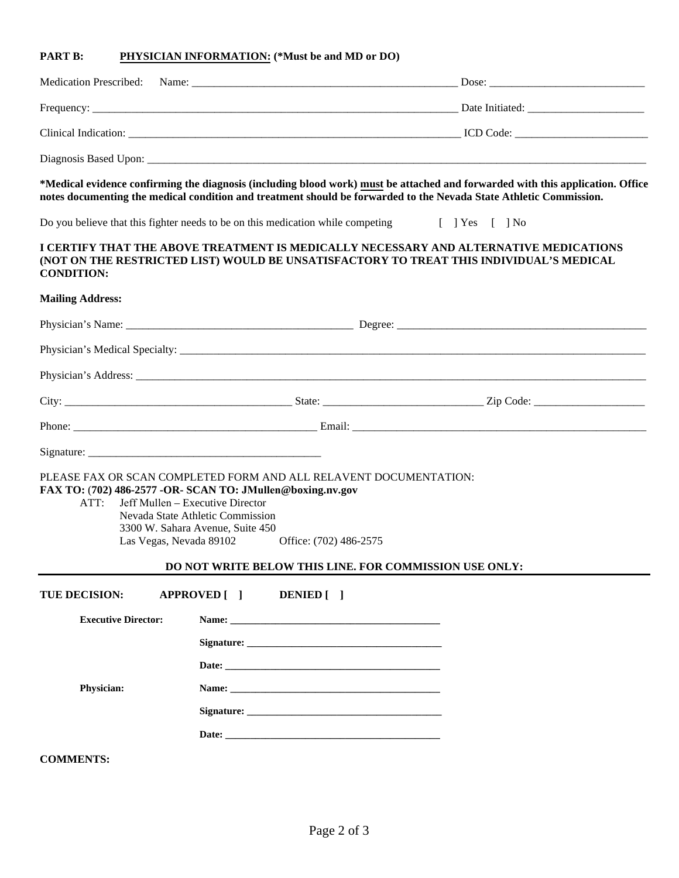#### **PART B: PHYSICIAN INFORMATION: (\*Must be and MD or DO)**

| Medication Prescribed: Name: |                                     |                 |
|------------------------------|-------------------------------------|-----------------|
|                              | Frequency: $\frac{1}{2}$ Frequency: | Date Initiated: |
| Clinical Indication:         |                                     | ICD Code:       |
|                              |                                     |                 |

#### **\*Medical evidence confirming the diagnosis (including blood work) must be attached and forwarded with this application. Office notes documenting the medical condition and treatment should be forwarded to the Nevada State Athletic Commission.**

Do you believe that this fighter needs to be on this medication while competing [ ] Yes [ ] No

### **I CERTIFY THAT THE ABOVE TREATMENT IS MEDICALLY NECESSARY AND ALTERNATIVE MEDICATIONS (NOT ON THE RESTRICTED LIST) WOULD BE UNSATISFACTORY TO TREAT THIS INDIVIDUAL'S MEDICAL CONDITION:**

#### **Mailing Address:**

| ATT:                       | PLEASE FAX OR SCAN COMPLETED FORM AND ALL RELAVENT DOCUMENTATION:<br>FAX TO: (702) 486-2577 -OR- SCAN TO: JMullen@boxing.nv.gov<br>Jeff Mullen - Executive Director<br>Nevada State Athletic Commission<br>3300 W. Sahara Avenue, Suite 450<br>Las Vegas, Nevada 89102 Office: (702) 486-2575<br>DO NOT WRITE BELOW THIS LINE. FOR COMMISSION USE ONLY: |  |
|----------------------------|---------------------------------------------------------------------------------------------------------------------------------------------------------------------------------------------------------------------------------------------------------------------------------------------------------------------------------------------------------|--|
| <b>TUE DECISION:</b>       | APPROVED [ ] DENIED [ ]                                                                                                                                                                                                                                                                                                                                 |  |
| <b>Executive Director:</b> | Name: 2008.000 Manual 2008.000 Manual 2008.000 Manual 2008.000 Manual 2008.000 Manual 2008.000 Manual 2008.000                                                                                                                                                                                                                                          |  |
|                            | Signature: Signature:                                                                                                                                                                                                                                                                                                                                   |  |
|                            |                                                                                                                                                                                                                                                                                                                                                         |  |
| Physician:                 |                                                                                                                                                                                                                                                                                                                                                         |  |
|                            |                                                                                                                                                                                                                                                                                                                                                         |  |
|                            |                                                                                                                                                                                                                                                                                                                                                         |  |
| <b>COMMENTS:</b>           |                                                                                                                                                                                                                                                                                                                                                         |  |